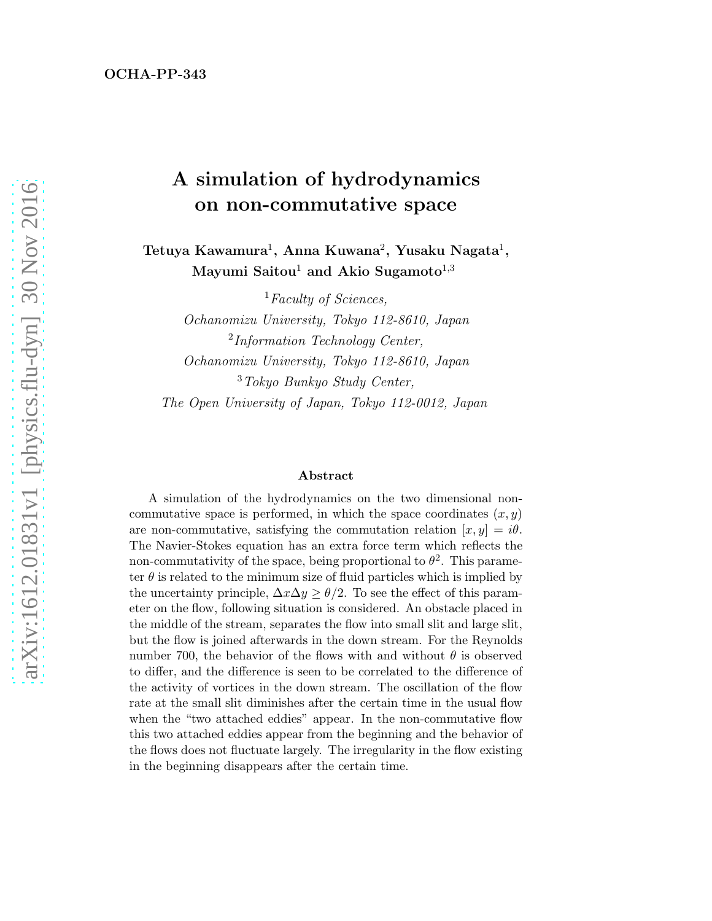## A simulation of hydrodynamics on non-commutative space

Tetuya Kawamura $^1$ , Anna Kuwana $^2$ , Yusaku Nagata $^1,$ Mayumi Saitou<sup>1</sup> and Akio Sugamoto<sup>1,3</sup>

<sup>1</sup>Faculty of Sciences, Ochanomizu University, Tokyo 112-8610, Japan <sup>2</sup>Information Technology Center, Ochanomizu University, Tokyo 112-8610, Japan <sup>3</sup>Tokyo Bunkyo Study Center, The Open University of Japan, Tokyo 112-0012, Japan

#### Abstract

A simulation of the hydrodynamics on the two dimensional noncommutative space is performed, in which the space coordinates  $(x, y)$ are non-commutative, satisfying the commutation relation  $[x, y] = i\theta$ . The Navier-Stokes equation has an extra force term which reflects the non-commutativity of the space, being proportional to  $\theta^2$ . This parameter  $\theta$  is related to the minimum size of fluid particles which is implied by the uncertainty principle,  $\Delta x \Delta y \ge \theta/2$ . To see the effect of this parameter on the flow, following situation is considered. An obstacle placed in the middle of the stream, separates the flow into small slit and large slit, but the flow is joined afterwards in the down stream. For the Reynolds number 700, the behavior of the flows with and without  $\theta$  is observed to differ, and the difference is seen to be correlated to the difference of the activity of vortices in the down stream. The oscillation of the flow rate at the small slit diminishes after the certain time in the usual flow when the "two attached eddies" appear. In the non-commutative flow this two attached eddies appear from the beginning and the behavior of the flows does not fluctuate largely. The irregularity in the flow existing in the beginning disappears after the certain time.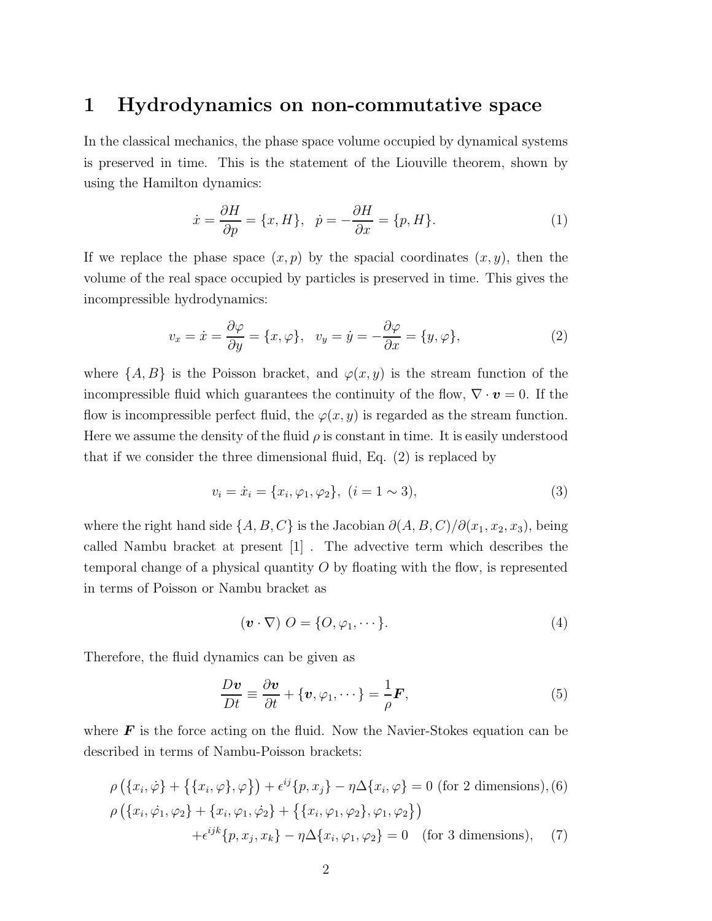#### 1 Hydrodynamics on non-commutative space

In the classical mechanics, the phase space volume occupied by dynamical systems is preserved in time. This is the statement of the Liouville theorem, shown by using the Hamilton dynamics:

$$
\dot{x} = \frac{\partial H}{\partial p} = \{x, H\}, \quad \dot{p} = -\frac{\partial H}{\partial x} = \{p, H\}.
$$
 (1)

If we replace the phase space  $(x, p)$  by the spacial coordinates  $(x, y)$ , then the volume of the real space occupied by particles is preserved in time. This gives the incompressible hydrodynamics:

$$
v_x = \dot{x} = \frac{\partial \varphi}{\partial y} = \{x, \varphi\}, \quad v_y = \dot{y} = -\frac{\partial \varphi}{\partial x} = \{y, \varphi\},\tag{2}
$$

where  $\{A, B\}$  is the Poisson bracket, and  $\varphi(x, y)$  is the stream function of the incompressible fluid which guarantees the continuity of the flow,  $\nabla \cdot \mathbf{v} = 0$ . If the flow is incompressible perfect fluid, the  $\varphi(x, y)$  is regarded as the stream function. Here we assume the density of the fluid  $\rho$  is constant in time. It is easily understood that if we consider the three dimensional fluid, Eq. (2) is replaced by

$$
v_i = \dot{x}_i = \{x_i, \varphi_1, \varphi_2\}, \ (i = 1 \sim 3), \tag{3}
$$

where the right hand side  $\{A, B, C\}$  is the Jacobian  $\partial(A, B, C)/\partial(x_1, x_2, x_3)$ , being called Nambu bracket at present [1] . The advective term which describes the temporal change of a physical quantity  $O$  by floating with the flow, is represented in terms of Poisson or Nambu bracket as

$$
(\boldsymbol{v} \cdot \nabla) \ O = \{O, \varphi_1, \cdots\}.
$$
 (4)

Therefore, the fluid dynamics can be given as

$$
\frac{D\mathbf{v}}{Dt} \equiv \frac{\partial \mathbf{v}}{\partial t} + \{\mathbf{v}, \varphi_1, \cdots\} = \frac{1}{\rho} \mathbf{F},\tag{5}
$$

where  $\boldsymbol{F}$  is the force acting on the fluid. Now the Navier-Stokes equation can be described in terms of Nambu-Poisson brackets:

$$
\rho(\{x_i, \dot{\varphi}\} + \{\{x_i, \varphi\}, \varphi\}) + \epsilon^{ij}\{p, x_j\} - \eta \Delta \{x_i, \varphi\} = 0 \text{ (for 2 dimensions)}, (6)
$$
  
\n
$$
\rho(\{x_i, \dot{\varphi}_1, \varphi_2\} + \{x_i, \varphi_1, \dot{\varphi}_2\} + \{\{x_i, \varphi_1, \varphi_2\}, \varphi_1, \varphi_2\})
$$
  
\n
$$
+ \epsilon^{ijk}\{p, x_j, x_k\} - \eta \Delta \{x_i, \varphi_1, \varphi_2\} = 0 \text{ (for 3 dimensions)}, (7)
$$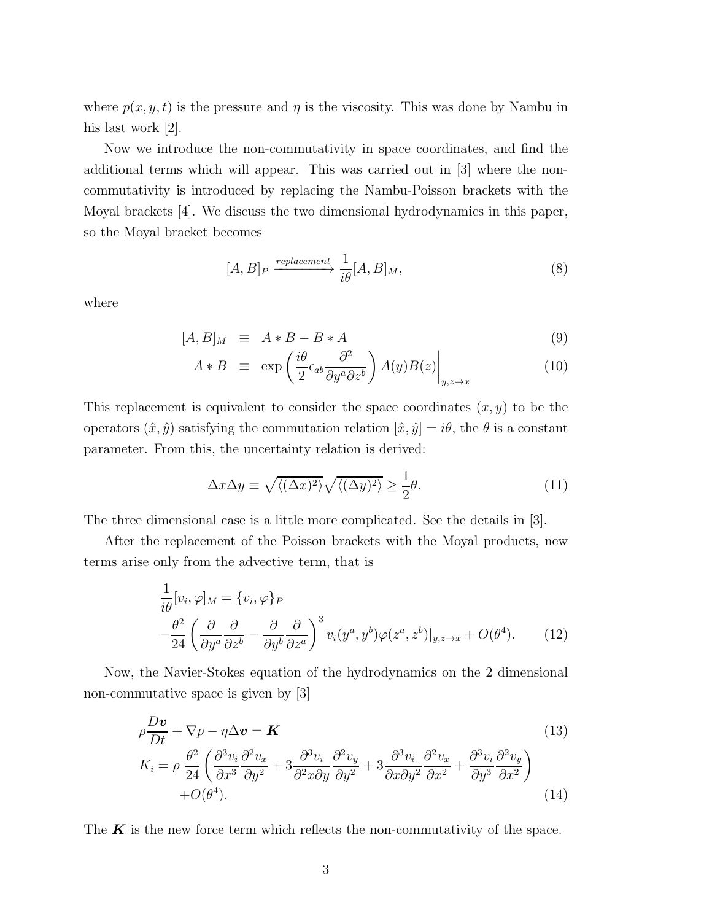where  $p(x, y, t)$  is the pressure and  $\eta$  is the viscosity. This was done by Nambu in his last work  $|2|$ .

Now we introduce the non-commutativity in space coordinates, and find the additional terms which will appear. This was carried out in [3] where the noncommutativity is introduced by replacing the Nambu-Poisson brackets with the Moyal brackets [4]. We discuss the two dimensional hydrodynamics in this paper, so the Moyal bracket becomes

$$
[A,B]_P \xrightarrow{replacement} \frac{1}{i\theta} [A,B]_M,
$$
\n(8)

where

$$
[A,B]_M \equiv A * B - B * A \tag{9}
$$

$$
A * B \equiv \exp\left(\frac{i\theta}{2}\epsilon_{ab}\frac{\partial^2}{\partial y^a \partial z^b}\right)A(y)B(z)\Big|_{y,z \to x}
$$
 (10)

This replacement is equivalent to consider the space coordinates  $(x, y)$  to be the operators  $(\hat{x}, \hat{y})$  satisfying the commutation relation  $[\hat{x}, \hat{y}] = i\theta$ , the  $\theta$  is a constant parameter. From this, the uncertainty relation is derived:

$$
\Delta x \Delta y \equiv \sqrt{\langle (\Delta x)^2 \rangle} \sqrt{\langle (\Delta y)^2 \rangle} \ge \frac{1}{2} \theta. \tag{11}
$$

The three dimensional case is a little more complicated. See the details in [3].

After the replacement of the Poisson brackets with the Moyal products, new terms arise only from the advective term, that is

$$
\frac{1}{i\theta}[v_i, \varphi]_M = \{v_i, \varphi\}_P \n-\frac{\theta^2}{24} \left(\frac{\partial}{\partial y^a} \frac{\partial}{\partial z^b} - \frac{\partial}{\partial y^b} \frac{\partial}{\partial z^a}\right)^3 v_i(y^a, y^b) \varphi(z^a, z^b)|_{y, z \to x} + O(\theta^4).
$$
\n(12)

Now, the Navier-Stokes equation of the hydrodynamics on the 2 dimensional non-commutative space is given by [3]

$$
\rho \frac{D\mathbf{v}}{Dt} + \nabla p - \eta \Delta \mathbf{v} = \mathbf{K} \tag{13}
$$
\n
$$
K_i = \rho \frac{\theta^2}{24} \left( \frac{\partial^3 v_i}{\partial x^3} \frac{\partial^2 v_x}{\partial y^2} + 3 \frac{\partial^3 v_i}{\partial x \partial y} \frac{\partial^2 v_y}{\partial y^2} + 3 \frac{\partial^3 v_i}{\partial x \partial y^2} \frac{\partial^2 v_x}{\partial x^2} + \frac{\partial^3 v_i}{\partial y^3} \frac{\partial^2 v_y}{\partial x^2} \right) + O(\theta^4). \tag{14}
$$

The  $K$  is the new force term which reflects the non-commutativity of the space.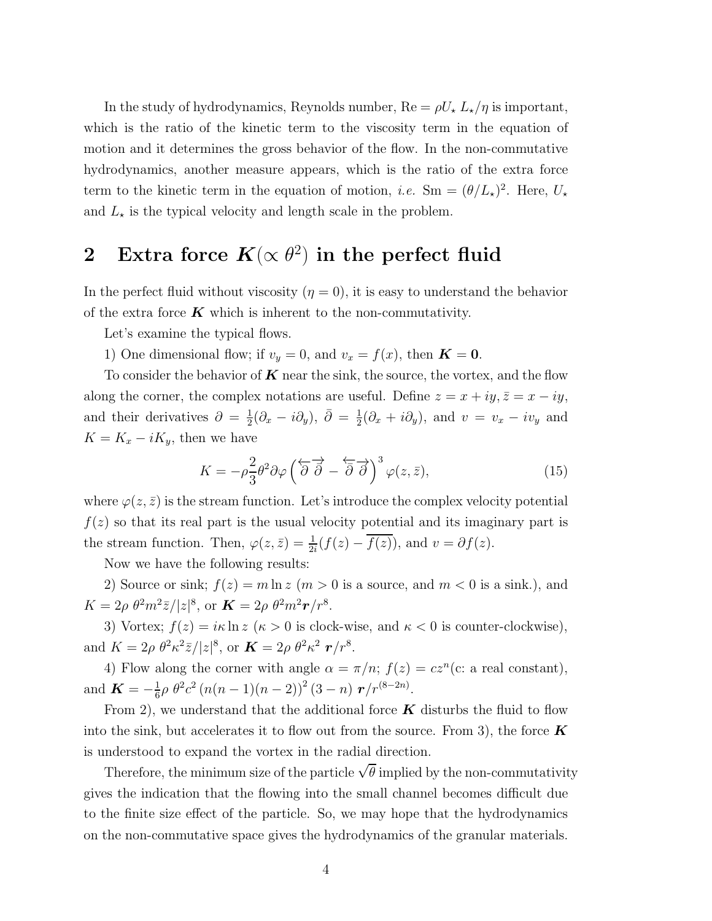In the study of hydrodynamics, Reynolds number,  $\text{Re} = \rho U_{\star} L_{\star}/\eta$  is important, which is the ratio of the kinetic term to the viscosity term in the equation of motion and it determines the gross behavior of the flow. In the non-commutative hydrodynamics, another measure appears, which is the ratio of the extra force term to the kinetic term in the equation of motion, *i.e.* Sm =  $(\theta/L_{\star})^2$ . Here,  $U_{\star}$ and  $L_{\star}$  is the typical velocity and length scale in the problem.

# 2 Extra force  $K(\propto \theta^2)$  in the perfect fluid

In the perfect fluid without viscosity  $(\eta = 0)$ , it is easy to understand the behavior of the extra force  $K$  which is inherent to the non-commutativity.

Let's examine the typical flows.

1) One dimensional flow; if  $v_y = 0$ , and  $v_x = f(x)$ , then  $\mathbf{K} = \mathbf{0}$ .

To consider the behavior of  $K$  near the sink, the source, the vortex, and the flow along the corner, the complex notations are useful. Define  $z = x + iy$ ,  $\bar{z} = x - iy$ , and their derivatives  $\partial = \frac{1}{2}$  $\frac{1}{2}(\partial_x - i \partial_y), \ \bar{\partial} = \frac{1}{2}$  $\frac{1}{2}(\partial_x + i\partial_y)$ , and  $v = v_x - iv_y$  and  $K = K_x - iK_y$ , then we have

$$
K = -\rho \frac{2}{3} \theta^2 \partial \varphi \left(\overleftarrow{\partial} \overrightarrow{\partial} - \overleftarrow{\partial} \overrightarrow{\partial}\right)^3 \varphi(z, \bar{z}),\right)
$$
 (15)

where  $\varphi(z, \bar{z})$  is the stream function. Let's introduce the complex velocity potential  $f(z)$  so that its real part is the usual velocity potential and its imaginary part is the stream function. Then,  $\varphi(z,\bar{z}) = \frac{1}{2i}(f(z) - \overline{f(z)})$ , and  $v = \partial f(z)$ .

Now we have the following results:

2) Source or sink;  $f(z) = m \ln z$   $(m > 0$  is a source, and  $m < 0$  is a sink.), and  $K = 2\rho \theta^2 m^2 \bar{z}/|z|^8$ , or  $\mathbf{K} = 2\rho \theta^2 m^2 \mathbf{r}/r^8$ .

3) Vortex;  $f(z) = i\kappa \ln z$  ( $\kappa > 0$  is clock-wise, and  $\kappa < 0$  is counter-clockwise), and  $K = 2\rho \theta^2 \kappa^2 \bar{z}/|z|^8$ , or  $\mathbf{K} = 2\rho \theta^2 \kappa^2 \mathbf{r}/r^8$ .

4) Flow along the corner with angle  $\alpha = \pi/n$ ;  $f(z) = cz^n$  (c: a real constant), and  $\boldsymbol{K} = -\frac{1}{6}$  $\frac{1}{6}\rho \theta^2 c^2 (n(n-1)(n-2))^2 (3-n) r/r^{(8-2n)}$ .

From 2), we understand that the additional force  $\boldsymbol{K}$  disturbs the fluid to flow into the sink, but accelerates it to flow out from the source. From 3), the force  $\boldsymbol{K}$ is understood to expand the vortex in the radial direction.

Therefore, the minimum size of the particle  $\sqrt{\theta}$  implied by the non-commutativity gives the indication that the flowing into the small channel becomes difficult due to the finite size effect of the particle. So, we may hope that the hydrodynamics on the non-commutative space gives the hydrodynamics of the granular materials.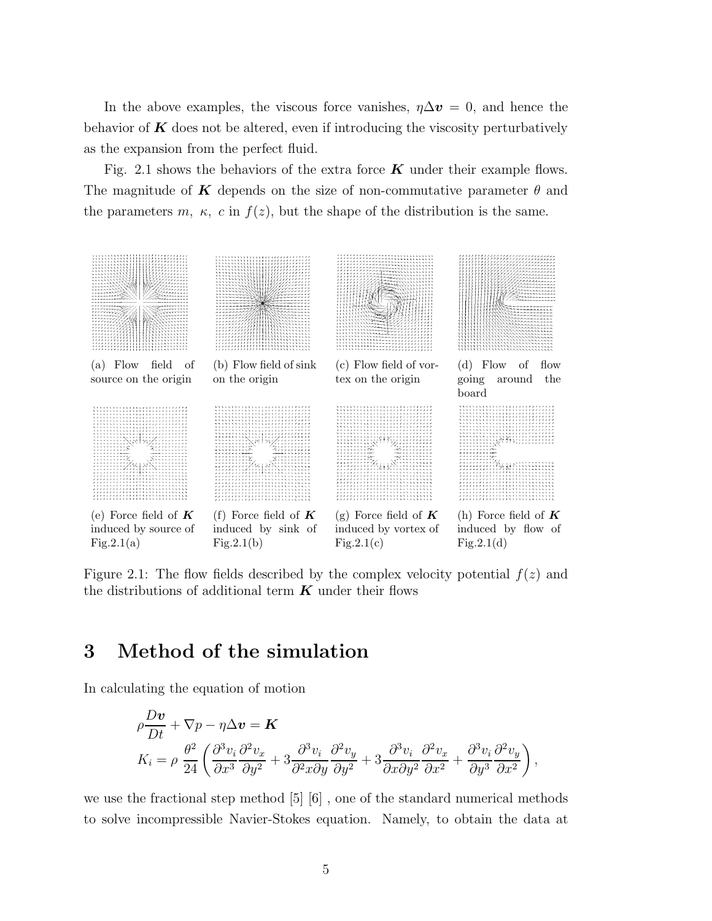In the above examples, the viscous force vanishes,  $\eta \Delta v = 0$ , and hence the behavior of  $\boldsymbol{K}$  does not be altered, even if introducing the viscosity perturbatively as the expansion from the perfect fluid.

Fig. 2.1 shows the behaviors of the extra force  $\boldsymbol{K}$  under their example flows. The magnitude of K depends on the size of non-commutative parameter  $\theta$  and the parameters m,  $\kappa$ , c in  $f(z)$ , but the shape of the distribution is the same.



Figure 2.1: The flow fields described by the complex velocity potential  $f(z)$  and the distributions of additional term  $K$  under their flows

#### 3 Method of the simulation

In calculating the equation of motion

$$
\begin{split} & \rho \frac{D\boldsymbol{v}}{Dt} + \nabla p - \eta \Delta \boldsymbol{v} = \boldsymbol{K} \\ & K_i = \rho \; \frac{\theta^2}{24} \left( \frac{\partial^3 v_i}{\partial x^3} \frac{\partial^2 v_x}{\partial y^2} + 3 \frac{\partial^3 v_i}{\partial^2 x \partial y} \frac{\partial^2 v_y}{\partial y^2} + 3 \frac{\partial^3 v_i}{\partial x \partial y^2} \frac{\partial^2 v_x}{\partial x^2} + \frac{\partial^3 v_i}{\partial y^3} \frac{\partial^2 v_y}{\partial x^2} \right), \end{split}
$$

we use the fractional step method [5] [6] , one of the standard numerical methods to solve incompressible Navier-Stokes equation. Namely, to obtain the data at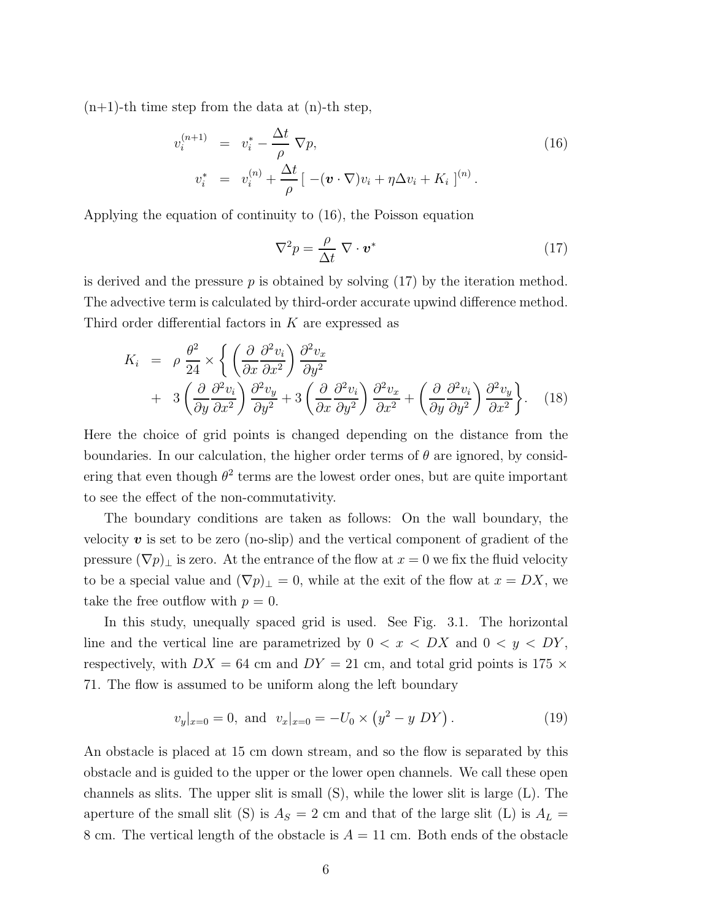$(n+1)$ -th time step from the data at  $(n)$ -th step,

$$
v_i^{(n+1)} = v_i^* - \frac{\Delta t}{\rho} \nabla p,
$$
  
\n
$$
v_i^* = v_i^{(n)} + \frac{\Delta t}{\rho} \left[ -(v \cdot \nabla) v_i + \eta \Delta v_i + K_i \right]^{(n)}.
$$
\n(16)

Applying the equation of continuity to (16), the Poisson equation

$$
\nabla^2 p = \frac{\rho}{\Delta t} \ \nabla \cdot \mathbf{v}^* \tag{17}
$$

is derived and the pressure  $p$  is obtained by solving  $(17)$  by the iteration method. The advective term is calculated by third-order accurate upwind difference method. Third order differential factors in K are expressed as

$$
K_{i} = \rho \frac{\theta^{2}}{24} \times \left\{ \left( \frac{\partial}{\partial x} \frac{\partial^{2} v_{i}}{\partial x^{2}} \right) \frac{\partial^{2} v_{x}}{\partial y^{2}} \right. \\ \left. + 3 \left( \frac{\partial}{\partial y} \frac{\partial^{2} v_{i}}{\partial x^{2}} \right) \frac{\partial^{2} v_{y}}{\partial y^{2}} + 3 \left( \frac{\partial}{\partial x} \frac{\partial^{2} v_{i}}{\partial y^{2}} \right) \frac{\partial^{2} v_{x}}{\partial x^{2}} + \left( \frac{\partial}{\partial y} \frac{\partial^{2} v_{i}}{\partial y^{2}} \right) \frac{\partial^{2} v_{y}}{\partial x^{2}} \right\}.
$$
 (18)

Here the choice of grid points is changed depending on the distance from the boundaries. In our calculation, the higher order terms of  $\theta$  are ignored, by considering that even though  $\theta^2$  terms are the lowest order ones, but are quite important to see the effect of the non-commutativity.

The boundary conditions are taken as follows: On the wall boundary, the velocity  $\boldsymbol{v}$  is set to be zero (no-slip) and the vertical component of gradient of the pressure  $(\nabla p)_\perp$  is zero. At the entrance of the flow at  $x = 0$  we fix the fluid velocity to be a special value and  $(\nabla p)_\perp = 0$ , while at the exit of the flow at  $x = DX$ , we take the free outflow with  $p = 0$ .

In this study, unequally spaced grid is used. See Fig. 3.1. The horizontal line and the vertical line are parametrized by  $0 < x < DX$  and  $0 < y < DY$ , respectively, with  $DX = 64$  cm and  $DY = 21$  cm, and total grid points is 175  $\times$ 71. The flow is assumed to be uniform along the left boundary

$$
v_y|_{x=0} = 0
$$
, and  $v_x|_{x=0} = -U_0 \times (y^2 - y \, DY)$ . (19)

An obstacle is placed at 15 cm down stream, and so the flow is separated by this obstacle and is guided to the upper or the lower open channels. We call these open channels as slits. The upper slit is small (S), while the lower slit is large (L). The aperture of the small slit (S) is  $A<sub>S</sub> = 2$  cm and that of the large slit (L) is  $A<sub>L</sub> =$ 8 cm. The vertical length of the obstacle is  $A = 11$  cm. Both ends of the obstacle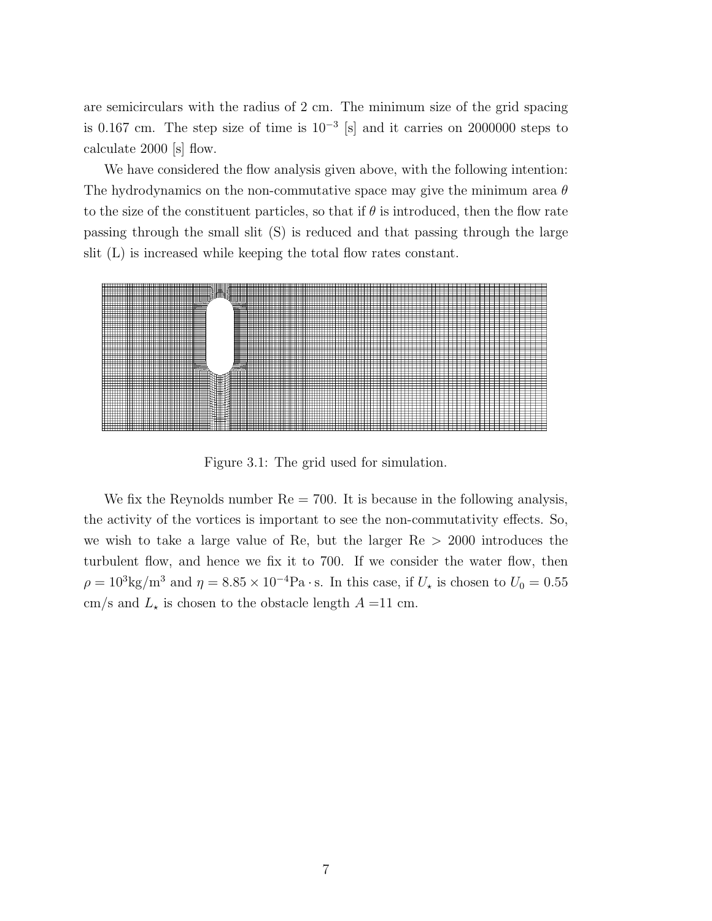are semicirculars with the radius of 2 cm. The minimum size of the grid spacing is 0.167 cm. The step size of time is  $10^{-3}$  [s] and it carries on 2000000 steps to calculate 2000 [s] flow.

We have considered the flow analysis given above, with the following intention: The hydrodynamics on the non-commutative space may give the minimum area  $\theta$ to the size of the constituent particles, so that if  $\theta$  is introduced, then the flow rate passing through the small slit (S) is reduced and that passing through the large slit (L) is increased while keeping the total flow rates constant.



Figure 3.1: The grid used for simulation.

We fix the Reynolds number  $Re = 700$ . It is because in the following analysis, the activity of the vortices is important to see the non-commutativity effects. So, we wish to take a large value of Re, but the larger  $Re > 2000$  introduces the turbulent flow, and hence we fix it to 700. If we consider the water flow, then  $\rho = 10^3 \text{kg/m}^3$  and  $\eta = 8.85 \times 10^{-4} \text{Pa} \cdot \text{s}$ . In this case, if  $U_{\star}$  is chosen to  $U_0 = 0.55$ cm/s and  $L_{\star}$  is chosen to the obstacle length  $A = 11$  cm.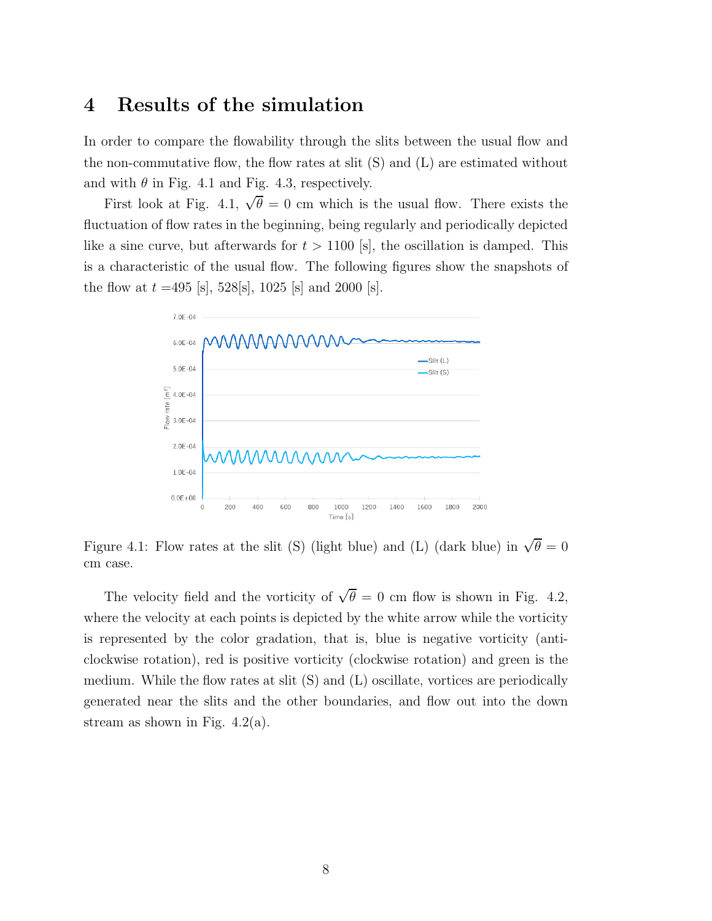#### 4 Results of the simulation

In order to compare the flowability through the slits between the usual flow and the non-commutative flow, the flow rates at slit (S) and (L) are estimated without and with  $\theta$  in Fig. 4.1 and Fig. 4.3, respectively.

First look at Fig. 4.1,  $\sqrt{\theta} = 0$  cm which is the usual flow. There exists the fluctuation of flow rates in the beginning, being regularly and periodically depicted like a sine curve, but afterwards for  $t > 1100$  [s], the oscillation is damped. This is a characteristic of the usual flow. The following figures show the snapshots of the flow at  $t = 495$  [s], 528[s], 1025 [s] and 2000 [s].



Figure 4.1: Flow rates at the slit (S) (light blue) and (L) (dark blue) in  $\sqrt{\theta} = 0$ cm case.

The velocity field and the vorticity of  $\sqrt{\theta} = 0$  cm flow is shown in Fig. 4.2, where the velocity at each points is depicted by the white arrow while the vorticity is represented by the color gradation, that is, blue is negative vorticity (anticlockwise rotation), red is positive vorticity (clockwise rotation) and green is the medium. While the flow rates at slit (S) and (L) oscillate, vortices are periodically generated near the slits and the other boundaries, and flow out into the down stream as shown in Fig.  $4.2(a)$ .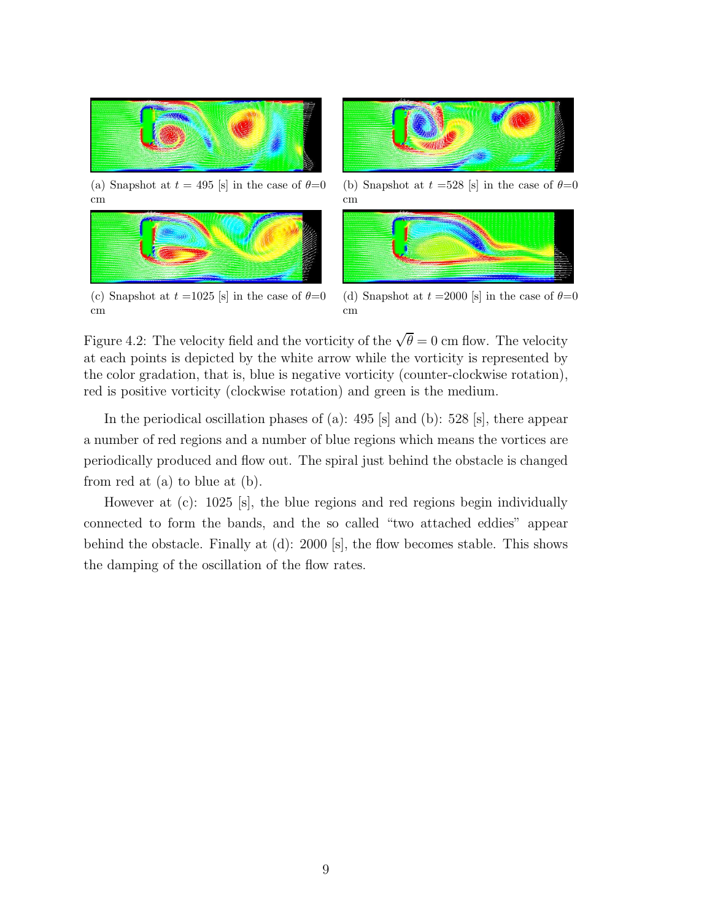

(a) Snapshot at  $t = 495$  [s] in the case of  $\theta = 0$ cm



(c) Snapshot at  $t = 1025$  [s] in the case of  $\theta = 0$ cm



(b) Snapshot at  $t = 528$  [s] in the case of  $\theta = 0$ cm



(d) Snapshot at  $t = 2000$  [s] in the case of  $\theta = 0$ cm

Figure 4.2: The velocity field and the vorticity of the  $\sqrt{\theta} = 0$  cm flow. The velocity at each points is depicted by the white arrow while the vorticity is represented by the color gradation, that is, blue is negative vorticity (counter-clockwise rotation), red is positive vorticity (clockwise rotation) and green is the medium.

In the periodical oscillation phases of (a): 495 [s] and (b): 528 [s], there appear a number of red regions and a number of blue regions which means the vortices are periodically produced and flow out. The spiral just behind the obstacle is changed from red at (a) to blue at (b).

However at (c): 1025 [s], the blue regions and red regions begin individually connected to form the bands, and the so called "two attached eddies" appear behind the obstacle. Finally at (d): 2000 [s], the flow becomes stable. This shows the damping of the oscillation of the flow rates.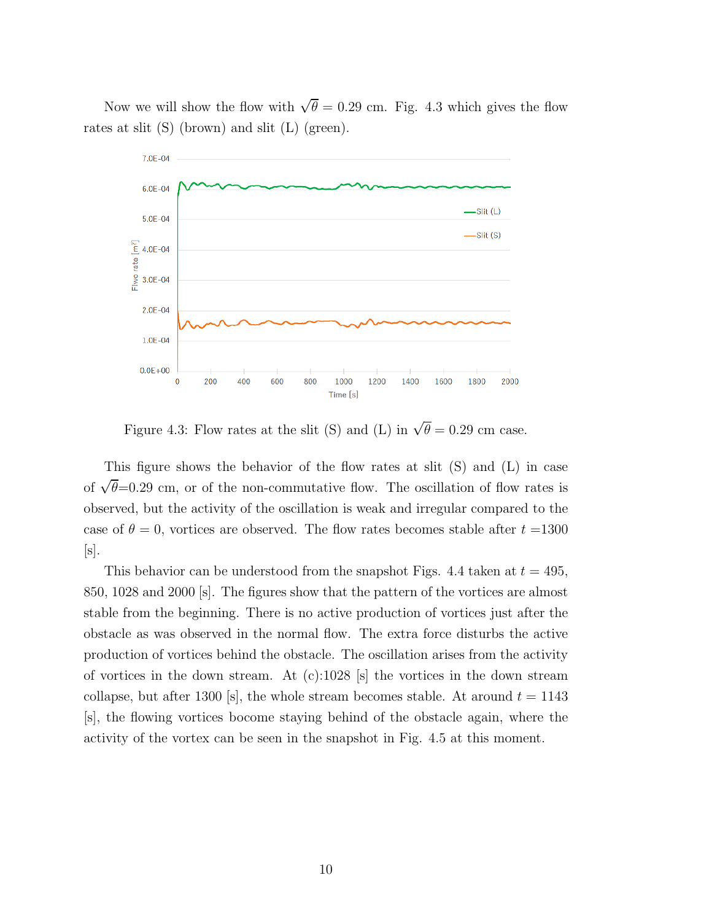Now we will show the flow with  $\sqrt{\theta} = 0.29$  cm. Fig. 4.3 which gives the flow rates at slit (S) (brown) and slit (L) (green).



Figure 4.3: Flow rates at the slit (S) and (L) in  $\sqrt{\theta} = 0.29$  cm case.

This figure shows the behavior of the flow rates at slit (S) and (L) in case of  $\sqrt{\theta}$ =0.29 cm, or of the non-commutative flow. The oscillation of flow rates is observed, but the activity of the oscillation is weak and irregular compared to the case of  $\theta = 0$ , vortices are observed. The flow rates becomes stable after  $t = 1300$  $[s]$ .

This behavior can be understood from the snapshot Figs. 4.4 taken at  $t = 495$ , 850, 1028 and 2000 [s]. The figures show that the pattern of the vortices are almost stable from the beginning. There is no active production of vortices just after the obstacle as was observed in the normal flow. The extra force disturbs the active production of vortices behind the obstacle. The oscillation arises from the activity of vortices in the down stream. At  $(c):1028$  [s] the vortices in the down stream collapse, but after 1300 [s], the whole stream becomes stable. At around  $t = 1143$ [s], the flowing vortices bocome staying behind of the obstacle again, where the activity of the vortex can be seen in the snapshot in Fig. 4.5 at this moment.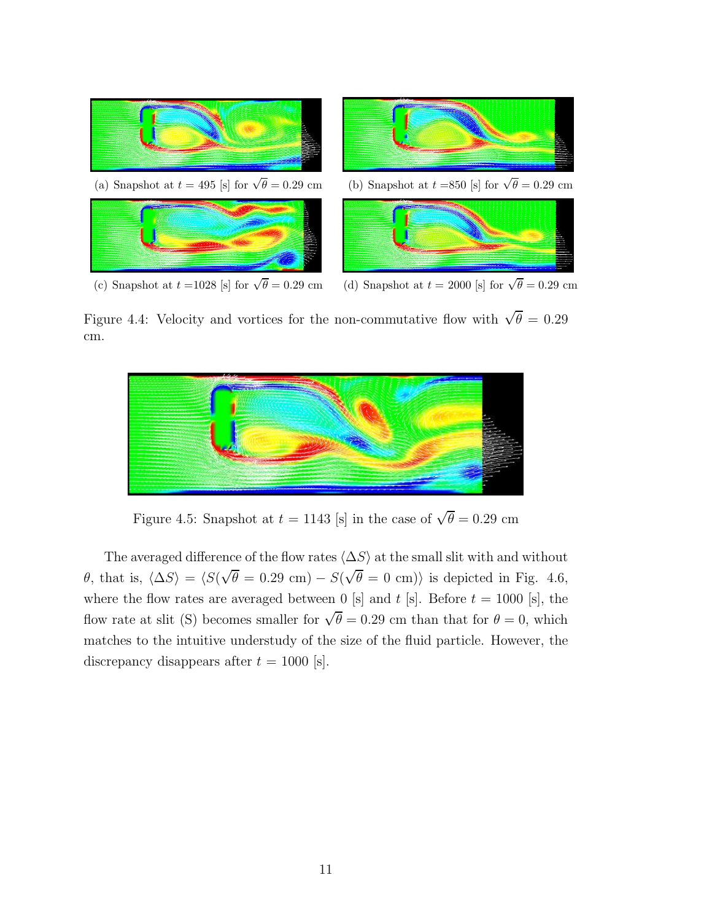

(c) Snapshot at  $t = 1028$  [s] for  $\sqrt{\theta} = 0.29$  cm

Figure 4.4: Velocity and vortices for the non-commutative flow with  $\sqrt{\theta} = 0.29$ cm.



Figure 4.5: Snapshot at  $t = 1143$  [s] in the case of  $\sqrt{\theta} = 0.29$  cm

The averaged difference of the flow rates  $\langle \Delta S \rangle$  at the small slit with and without  $\theta$ , that is,  $\langle \Delta S \rangle = \langle S(\sqrt{\theta} = 0.29 \text{ cm}) - S(\sqrt{\theta} = 0 \text{ cm}) \rangle$  is depicted in Fig. 4.6, where the flow rates are averaged between 0 [s] and t [s]. Before  $t = 1000$  [s], the flow rate at slit (S) becomes smaller for  $\sqrt{\theta} = 0.29$  cm than that for  $\theta = 0$ , which matches to the intuitive understudy of the size of the fluid particle. However, the discrepancy disappears after  $t = 1000$  [s].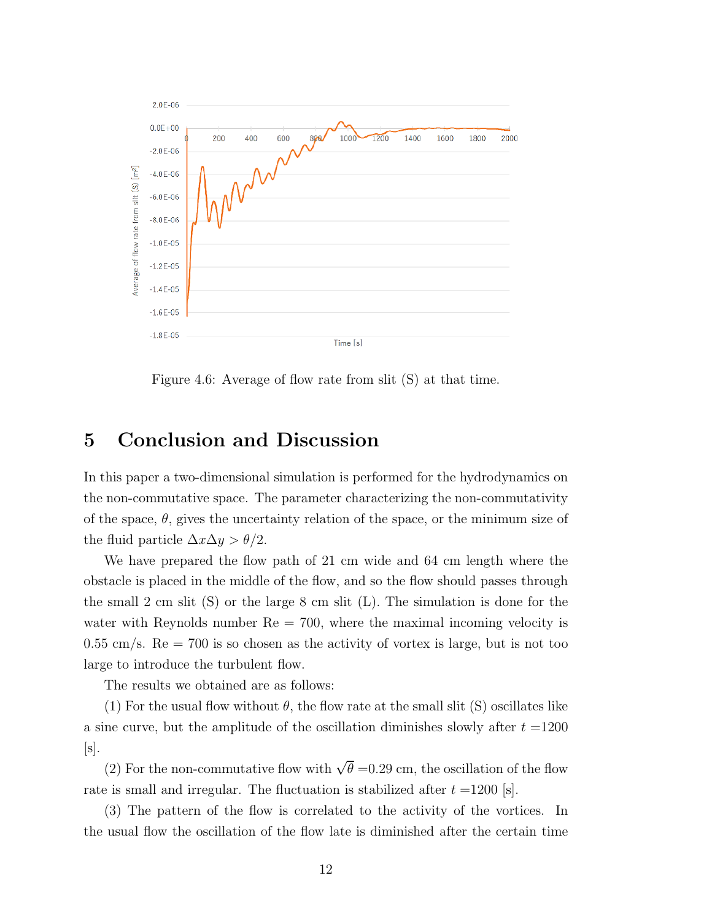

Figure 4.6: Average of flow rate from slit (S) at that time.

#### 5 Conclusion and Discussion

In this paper a two-dimensional simulation is performed for the hydrodynamics on the non-commutative space. The parameter characterizing the non-commutativity of the space,  $\theta$ , gives the uncertainty relation of the space, or the minimum size of the fluid particle  $\Delta x \Delta y > \theta/2$ .

We have prepared the flow path of 21 cm wide and 64 cm length where the obstacle is placed in the middle of the flow, and so the flow should passes through the small 2 cm slit  $(S)$  or the large 8 cm slit  $(L)$ . The simulation is done for the water with Reynolds number  $\text{Re} = 700$ , where the maximal incoming velocity is  $0.55 \text{ cm/s}$ . Re = 700 is so chosen as the activity of vortex is large, but is not too large to introduce the turbulent flow.

The results we obtained are as follows:

(1) For the usual flow without  $\theta$ , the flow rate at the small slit (S) oscillates like a sine curve, but the amplitude of the oscillation diminishes slowly after  $t = 1200$  $[s]$ .

(2) For the non-commutative flow with  $\sqrt{\theta}$  =0.29 cm, the oscillation of the flow rate is small and irregular. The fluctuation is stabilized after  $t = 1200$  [s].

(3) The pattern of the flow is correlated to the activity of the vortices. In the usual flow the oscillation of the flow late is diminished after the certain time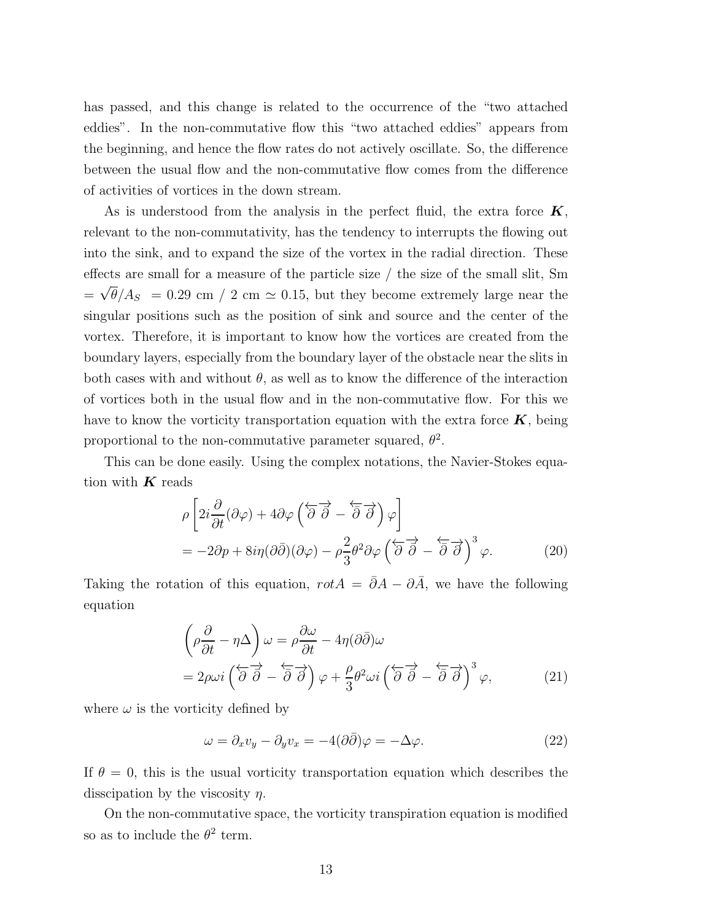has passed, and this change is related to the occurrence of the "two attached eddies". In the non-commutative flow this "two attached eddies" appears from the beginning, and hence the flow rates do not actively oscillate. So, the difference between the usual flow and the non-commutative flow comes from the difference of activities of vortices in the down stream.

As is understood from the analysis in the perfect fluid, the extra force  $K$ , relevant to the non-commutativity, has the tendency to interrupts the flowing out into the sink, and to expand the size of the vortex in the radial direction. These effects are small for a measure of the particle size / the size of the small slit, Sm  $=\sqrt{\theta}/A_s = 0.29$  cm / 2 cm  $\simeq$  0.15, but they become extremely large near the singular positions such as the position of sink and source and the center of the vortex. Therefore, it is important to know how the vortices are created from the boundary layers, especially from the boundary layer of the obstacle near the slits in both cases with and without  $\theta$ , as well as to know the difference of the interaction of vortices both in the usual flow and in the non-commutative flow. For this we have to know the vorticity transportation equation with the extra force  $K$ , being proportional to the non-commutative parameter squared,  $\theta^2$ .

This can be done easily. Using the complex notations, the Navier-Stokes equation with  $K$  reads

$$
\rho \left[ 2i \frac{\partial}{\partial t} (\partial \varphi) + 4 \partial \varphi \left( \overleftarrow{\partial} \overrightarrow{\partial} - \overleftarrow{\partial} \overrightarrow{\partial} \right) \varphi \right] \right]
$$
  
=  $-2\partial p + 8i\eta (\partial \overline{\partial}) (\partial \varphi) - \rho \frac{2}{3} \theta^2 \partial \varphi \left( \overleftarrow{\partial} \overrightarrow{\partial} - \overleftarrow{\partial} \overrightarrow{\partial} \right)^3 \varphi.$  (20)

Taking the rotation of this equation,  $rotA = \overline{\partial}A - \partial\overline{A}$ , we have the following equation

$$
\left(\rho \frac{\partial}{\partial t} - \eta \Delta\right) \omega = \rho \frac{\partial \omega}{\partial t} - 4\eta (\partial \bar{\partial}) \omega
$$
  
=  $2\rho \omega i \left(\overleftarrow{\partial} \overrightarrow{\partial} - \overleftarrow{\partial} \overrightarrow{\partial}\right) \varphi + \frac{\rho}{3} \theta^2 \omega i \left(\overleftarrow{\partial} \overrightarrow{\partial} - \overleftarrow{\partial} \overrightarrow{\partial}\right)^3 \varphi,$  (21)

where  $\omega$  is the vorticity defined by

$$
\omega = \partial_x v_y - \partial_y v_x = -4(\partial \bar{\partial})\varphi = -\Delta \varphi.
$$
\n(22)

If  $\theta = 0$ , this is the usual vorticity transportation equation which describes the disscipation by the viscosity  $\eta$ .

On the non-commutative space, the vorticity transpiration equation is modified so as to include the  $\theta^2$  term.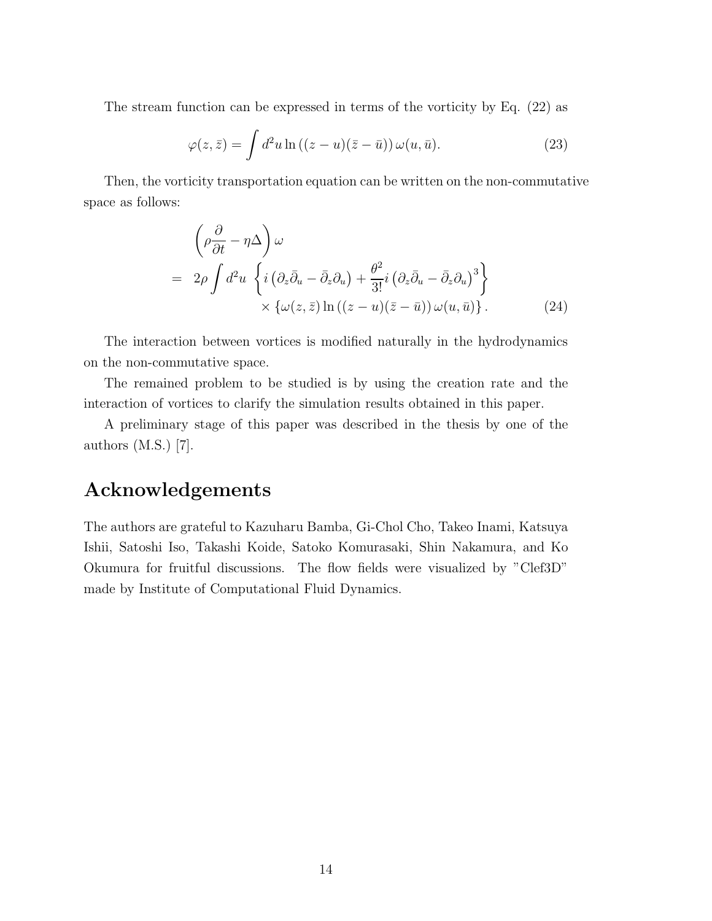The stream function can be expressed in terms of the vorticity by Eq. (22) as

$$
\varphi(z,\bar{z}) = \int d^2u \ln((z-u)(\bar{z}-\bar{u})) \,\omega(u,\bar{u}). \tag{23}
$$

Then, the vorticity transportation equation can be written on the non-commutative space as follows:

$$
\left(\rho \frac{\partial}{\partial t} - \eta \Delta\right) \omega
$$
  
=  $2\rho \int d^2 u \left\{ i \left(\partial_z \bar{\partial}_u - \bar{\partial}_z \partial_u\right) + \frac{\theta^2}{3!} i \left(\partial_z \bar{\partial}_u - \bar{\partial}_z \partial_u\right)^3 \right\}$   

$$
\times \left\{ \omega(z, \bar{z}) \ln \left( (z - u)(\bar{z} - \bar{u}) \right) \omega(u, \bar{u}) \right\}.
$$
 (24)

The interaction between vortices is modified naturally in the hydrodynamics on the non-commutative space.

The remained problem to be studied is by using the creation rate and the interaction of vortices to clarify the simulation results obtained in this paper.

A preliminary stage of this paper was described in the thesis by one of the authors (M.S.) [7].

### Acknowledgements

The authors are grateful to Kazuharu Bamba, Gi-Chol Cho, Takeo Inami, Katsuya Ishii, Satoshi Iso, Takashi Koide, Satoko Komurasaki, Shin Nakamura, and Ko Okumura for fruitful discussions. The flow fields were visualized by "Clef3D" made by Institute of Computational Fluid Dynamics.